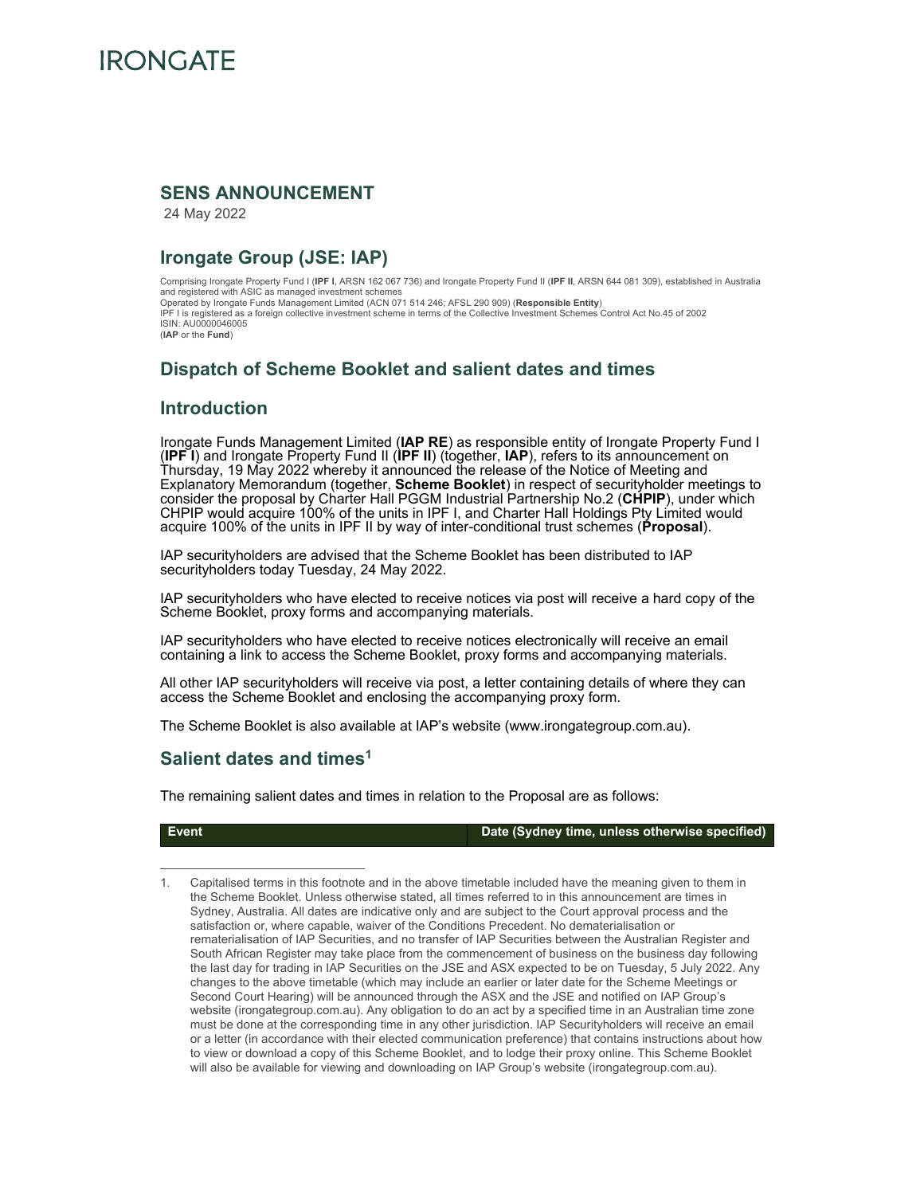

#### **SENS ANNOUNCEMENT**

24 May 2022

## **Irongate Group (JSE: IAP)**

Comprising Irongate Property Fund I (**IPF I**, ARSN 162 067 736) and Irongate Property Fund II (**IPF II**, ARSN 644 081 309), established in Australia and registered with ASIC as managed investment schemes Operated by Irongate Funds Management Limited (ACN 071 514 246; AFSL 290 909) (**Responsible Entity**) IPF I is registered as a foreign collective investment scheme in terms of the Collective Investment Schemes Control Act No.45 of 2002 ISIN: AU0000046005 (**IAP** or the **Fund**)

## **Dispatch of Scheme Booklet and salient dates and times**

#### **Introduction**

Irongate Funds Management Limited (**IAP RE**) as responsible entity of Irongate Property Fund I (**IPF I**) and Irongate Property Fund II (**IPF II**) (together, **IAP**), refers to its announcement on Thursday, 19 May 2022 whereby it announced the release of the Notice of Meeting and Explanatory Memorandum (together, **Scheme Booklet**) in respect of securityholder meetings to consider the proposal by Charter Hall PGGM Industrial Partnership No.2 (**CHPIP**), under which CHPIP would acquire 100% of the units in IPF I, and Charter Hall Holdings Pty Limited would acquire 100% of the units in IPF II by way of inter-conditional trust schemes (**Proposal**).

IAP securityholders are advised that the Scheme Booklet has been distributed to IAP securityholders today Tuesday, 24 May 2022.

IAP securityholders who have elected to receive notices via post will receive a hard copy of the Scheme Booklet, proxy forms and accompanying materials.

IAP securityholders who have elected to receive notices electronically will receive an email containing a link to access the Scheme Booklet, proxy forms and accompanying materials.

All other IAP securityholders will receive via post, a letter containing details of where they can access the Scheme Booklet and enclosing the accompanying proxy form.

The Scheme Booklet is also available at IAP's website (www.irongategroup.com.au).

#### **Salient dates and times1**

The remaining salient dates and times in relation to the Proposal are as follows:

**Event Date (Sydney time, unless otherwise specified)** 

1. Capitalised terms in this footnote and in the above timetable included have the meaning given to them in the Scheme Booklet. Unless otherwise stated, all times referred to in this announcement are times in Sydney, Australia. All dates are indicative only and are subject to the Court approval process and the satisfaction or, where capable, waiver of the Conditions Precedent. No dematerialisation or rematerialisation of IAP Securities, and no transfer of IAP Securities between the Australian Register and South African Register may take place from the commencement of business on the business day following the last day for trading in IAP Securities on the JSE and ASX expected to be on Tuesday, 5 July 2022. Any changes to the above timetable (which may include an earlier or later date for the Scheme Meetings or Second Court Hearing) will be announced through the ASX and the JSE and notified on IAP Group's website (irongategroup.com.au). Any obligation to do an act by a specified time in an Australian time zone must be done at the corresponding time in any other jurisdiction. IAP Securityholders will receive an email or a letter (in accordance with their elected communication preference) that contains instructions about how to view or download a copy of this Scheme Booklet, and to lodge their proxy online. This Scheme Booklet will also be available for viewing and downloading on IAP Group's website (irongategroup.com.au).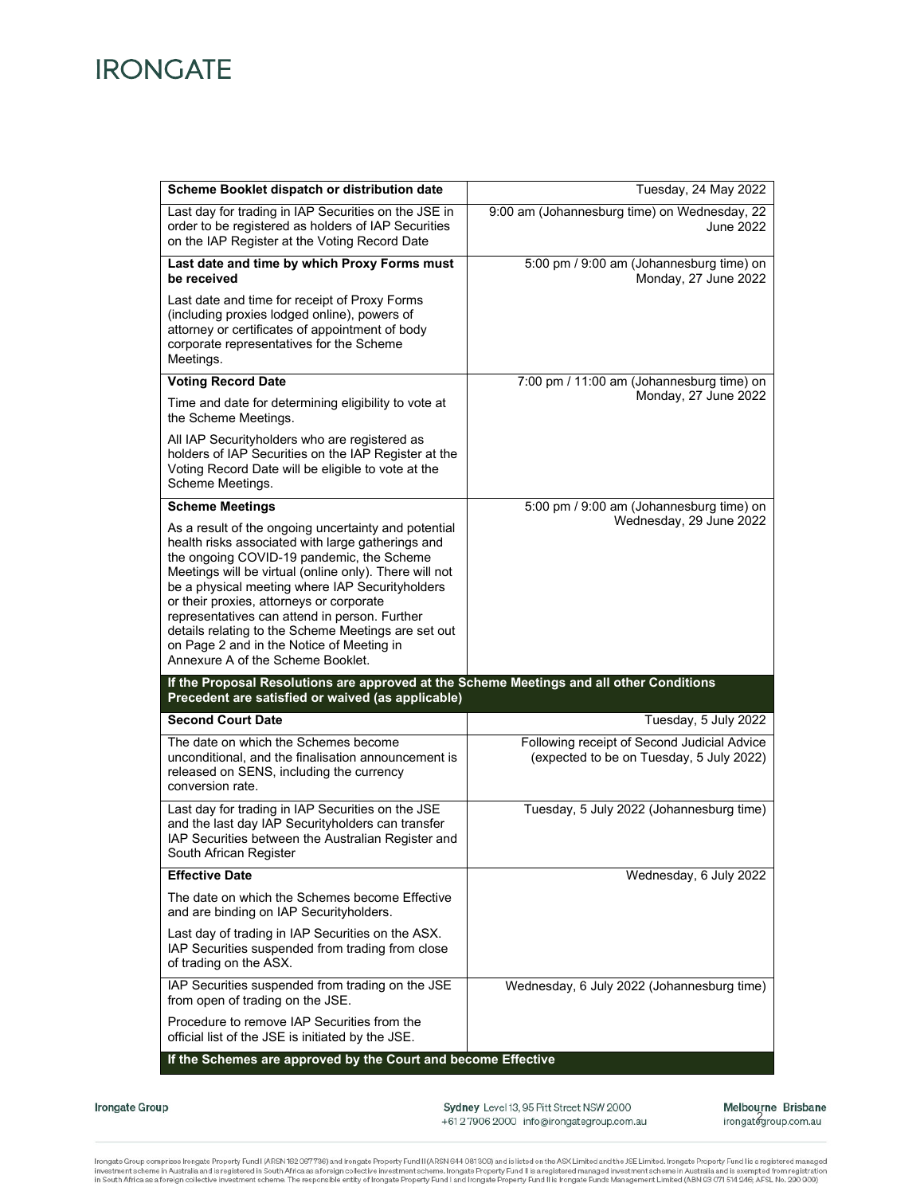# **IRONGATE**

| Scheme Booklet dispatch or distribution date                                                                                                                                                                                                                                                                                                                                                                                                                                                              | Tuesday, 24 May 2022                                                                    |
|-----------------------------------------------------------------------------------------------------------------------------------------------------------------------------------------------------------------------------------------------------------------------------------------------------------------------------------------------------------------------------------------------------------------------------------------------------------------------------------------------------------|-----------------------------------------------------------------------------------------|
| Last day for trading in IAP Securities on the JSE in<br>order to be registered as holders of IAP Securities<br>on the IAP Register at the Voting Record Date                                                                                                                                                                                                                                                                                                                                              | 9:00 am (Johannesburg time) on Wednesday, 22<br><b>June 2022</b>                        |
| Last date and time by which Proxy Forms must<br>be received                                                                                                                                                                                                                                                                                                                                                                                                                                               | 5:00 pm / 9:00 am (Johannesburg time) on<br>Monday, 27 June 2022                        |
| Last date and time for receipt of Proxy Forms<br>(including proxies lodged online), powers of<br>attorney or certificates of appointment of body<br>corporate representatives for the Scheme<br>Meetings.                                                                                                                                                                                                                                                                                                 |                                                                                         |
| <b>Voting Record Date</b>                                                                                                                                                                                                                                                                                                                                                                                                                                                                                 | 7:00 pm / 11:00 am (Johannesburg time) on                                               |
| Time and date for determining eligibility to vote at<br>the Scheme Meetings.                                                                                                                                                                                                                                                                                                                                                                                                                              | Monday, 27 June 2022                                                                    |
| All IAP Securityholders who are registered as<br>holders of IAP Securities on the IAP Register at the<br>Voting Record Date will be eligible to vote at the<br>Scheme Meetings.                                                                                                                                                                                                                                                                                                                           |                                                                                         |
| <b>Scheme Meetings</b>                                                                                                                                                                                                                                                                                                                                                                                                                                                                                    | 5:00 pm / 9:00 am (Johannesburg time) on                                                |
| As a result of the ongoing uncertainty and potential<br>health risks associated with large gatherings and<br>the ongoing COVID-19 pandemic, the Scheme<br>Meetings will be virtual (online only). There will not<br>be a physical meeting where IAP Securityholders<br>or their proxies, attorneys or corporate<br>representatives can attend in person. Further<br>details relating to the Scheme Meetings are set out<br>on Page 2 and in the Notice of Meeting in<br>Annexure A of the Scheme Booklet. | Wednesday, 29 June 2022                                                                 |
| If the Proposal Resolutions are approved at the Scheme Meetings and all other Conditions<br>Precedent are satisfied or waived (as applicable)                                                                                                                                                                                                                                                                                                                                                             |                                                                                         |
| <b>Second Court Date</b>                                                                                                                                                                                                                                                                                                                                                                                                                                                                                  | Tuesday, 5 July 2022                                                                    |
| The date on which the Schemes become<br>unconditional, and the finalisation announcement is<br>released on SENS, including the currency<br>conversion rate.                                                                                                                                                                                                                                                                                                                                               | Following receipt of Second Judicial Advice<br>(expected to be on Tuesday, 5 July 2022) |
| Last day for trading in IAP Securities on the JSE<br>and the last day IAP Securityholders can transfer<br>IAP Securities between the Australian Register and<br>South African Register                                                                                                                                                                                                                                                                                                                    | Tuesday, 5 July 2022 (Johannesburg time)                                                |
| <b>Effective Date</b>                                                                                                                                                                                                                                                                                                                                                                                                                                                                                     | Wednesday, 6 July 2022                                                                  |
| The date on which the Schemes become Effective<br>and are binding on IAP Securityholders.                                                                                                                                                                                                                                                                                                                                                                                                                 |                                                                                         |
| Last day of trading in IAP Securities on the ASX.<br>IAP Securities suspended from trading from close<br>of trading on the ASX.                                                                                                                                                                                                                                                                                                                                                                           |                                                                                         |
| IAP Securities suspended from trading on the JSE<br>from open of trading on the JSE.                                                                                                                                                                                                                                                                                                                                                                                                                      | Wednesday, 6 July 2022 (Johannesburg time)                                              |
| Procedure to remove IAP Securities from the<br>official list of the JSE is initiated by the JSE.                                                                                                                                                                                                                                                                                                                                                                                                          |                                                                                         |
| If the Schemes are approved by the Court and become Effective                                                                                                                                                                                                                                                                                                                                                                                                                                             |                                                                                         |

Irongate Group

Sydney Level 13, 95 Pitt Street NSW 2000 +61279062000 info@irongategroup.com.au Melbourne Brisbane irongategroup.com.au

Irongate Group comprises Irongate Property Fund I (ARSN 162 067736) and Irongate Property Fund II (ARSN 644 081 309) and is listed on the ASX Limited and the JSE Limited. Irongate Property Fund II is a registered managed i